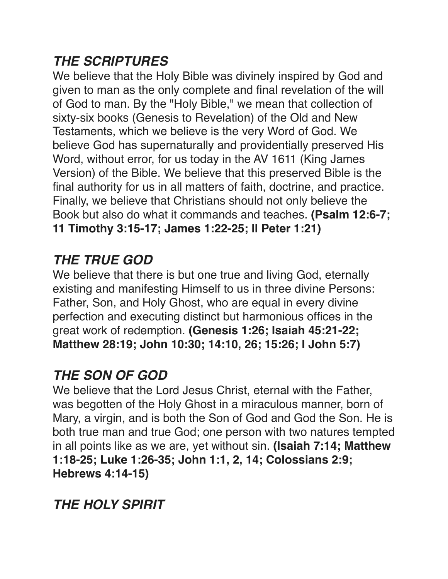#### *THE SCRIPTURES*

We believe that the Holy Bible was divinely inspired by God and given to man as the only complete and final revelation of the will of God to man. By the "Holy Bible," we mean that collection of sixty-six books (Genesis to Revelation) of the Old and New Testaments, which we believe is the very Word of God. We believe God has supernaturally and providentially preserved His Word, without error, for us today in the AV 1611 (King James Version) of the Bible. We believe that this preserved Bible is the final authority for us in all matters of faith, doctrine, and practice. Finally, we believe that Christians should not only believe the Book but also do what it commands and teaches. **(Psalm 12:6-7; 11 Timothy 3:15-17; James 1:22-25; ll Peter 1:21)**

### *THE TRUE GOD*

We believe that there is but one true and living God, eternally existing and manifesting Himself to us in three divine Persons: Father, Son, and Holy Ghost, who are equal in every divine perfection and executing distinct but harmonious offices in the great work of redemption. **(Genesis 1:26; Isaiah 45:21-22; Matthew 28:19; John 10:30; 14:10, 26; 15:26; I John 5:7)**

### *THE SON OF GOD*

We believe that the Lord Jesus Christ, eternal with the Father, was begotten of the Holy Ghost in a miraculous manner, born of Mary, a virgin, and is both the Son of God and God the Son. He is both true man and true God; one person with two natures tempted in all points like as we are, yet without sin. **(Isaiah 7:14; Matthew 1:18-25; Luke 1:26-35; John 1:1, 2, 14; Colossians 2:9; Hebrews 4:14-15)**

### *THE HOLY SPIRIT*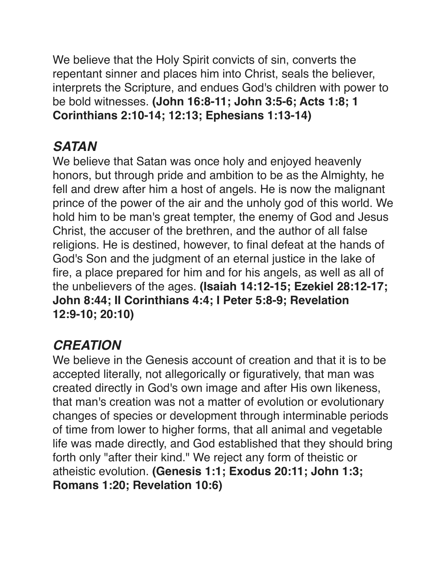We believe that the Holy Spirit convicts of sin, converts the repentant sinner and places him into Christ, seals the believer, interprets the Scripture, and endues God's children with power to be bold witnesses. **(John 16:8-11; John 3:5-6; Acts 1:8; 1 Corinthians 2:10-14; 12:13; Ephesians 1:13-14)**

# *SATAN*

We believe that Satan was once holy and enjoyed heavenly honors, but through pride and ambition to be as the Almighty, he fell and drew after him a host of angels. He is now the malignant prince of the power of the air and the unholy god of this world. We hold him to be man's great tempter, the enemy of God and Jesus Christ, the accuser of the brethren, and the author of all false religions. He is destined, however, to final defeat at the hands of God's Son and the judgment of an eternal justice in the lake of fire, a place prepared for him and for his angels, as well as all of the unbelievers of the ages. **(Isaiah 14:12-15; Ezekiel 28:12-17; John 8:44; II Corinthians 4:4; I Peter 5:8-9; Revelation 12:9-10; 20:10)**

# *CREATION*

We believe in the Genesis account of creation and that it is to be accepted literally, not allegorically or figuratively, that man was created directly in God's own image and after His own likeness, that man's creation was not a matter of evolution or evolutionary changes of species or development through interminable periods of time from lower to higher forms, that all animal and vegetable life was made directly, and God established that they should bring forth only "after their kind." We reject any form of theistic or atheistic evolution. **(Genesis 1:1; Exodus 20:11; John 1:3; Romans 1:20; Revelation 10:6)**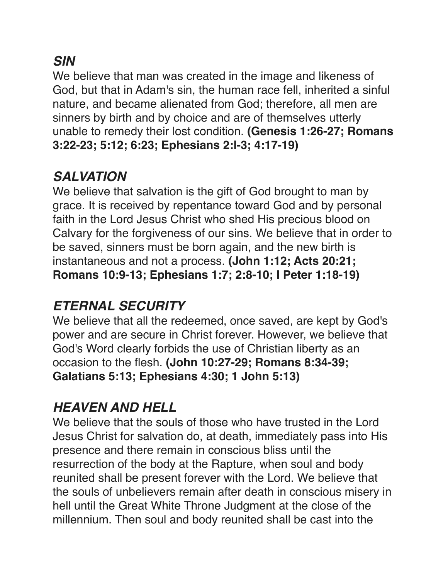#### *SIN*

We believe that man was created in the image and likeness of God, but that in Adam's sin, the human race fell, inherited a sinful nature, and became alienated from God; therefore, all men are sinners by birth and by choice and are of themselves utterly unable to remedy their lost condition. **(Genesis 1:26-27; Romans 3:22-23; 5:12; 6:23; Ephesians 2:l-3; 4:17-19)**

### *SALVATION*

We believe that salvation is the gift of God brought to man by grace. It is received by repentance toward God and by personal faith in the Lord Jesus Christ who shed His precious blood on Calvary for the forgiveness of our sins. We believe that in order to be saved, sinners must be born again, and the new birth is instantaneous and not a process. **(John 1:12; Acts 20:21; Romans 10:9-13; Ephesians 1:7; 2:8-10; I Peter 1:18-19)**

### *ETERNAL SECURITY*

We believe that all the redeemed, once saved, are kept by God's power and are secure in Christ forever. However, we believe that God's Word clearly forbids the use of Christian liberty as an occasion to the flesh. **(John 10:27-29; Romans 8:34-39; Galatians 5:13; Ephesians 4:30; 1 John 5:13)**

# *HEAVEN AND HELL*

We believe that the souls of those who have trusted in the Lord Jesus Christ for salvation do, at death, immediately pass into His presence and there remain in conscious bliss until the resurrection of the body at the Rapture, when soul and body reunited shall be present forever with the Lord. We believe that the souls of unbelievers remain after death in conscious misery in hell until the Great White Throne Judgment at the close of the millennium. Then soul and body reunited shall be cast into the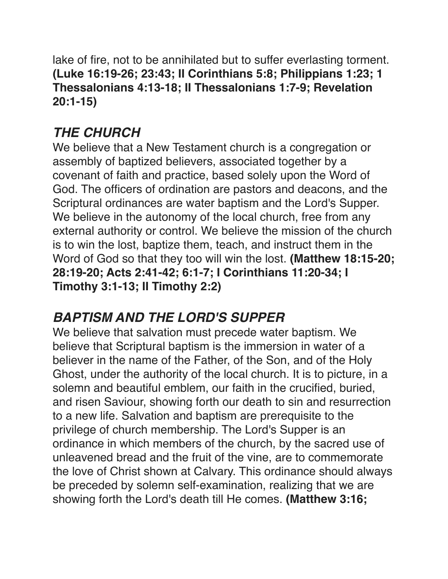lake of fire, not to be annihilated but to suffer everlasting torment. **(Luke 16:19-26; 23:43; II Corinthians 5:8; Philippians 1:23; 1 Thessalonians 4:13-18; II Thessalonians 1:7-9; Revelation 20:1-15)**

### *THE CHURCH*

We believe that a New Testament church is a congregation or assembly of baptized believers, associated together by a covenant of faith and practice, based solely upon the Word of God. The officers of ordination are pastors and deacons, and the Scriptural ordinances are water baptism and the Lord's Supper. We believe in the autonomy of the local church, free from any external authority or control. We believe the mission of the church is to win the lost, baptize them, teach, and instruct them in the Word of God so that they too will win the lost. **(Matthew 18:15-20; 28:19-20; Acts 2:41-42; 6:1-7; I Corinthians 11:20-34; I Timothy 3:1-13; II Timothy 2:2)**

### *BAPTISM AND THE LORD'S SUPPER*

We believe that salvation must precede water baptism. We believe that Scriptural baptism is the immersion in water of a believer in the name of the Father, of the Son, and of the Holy Ghost, under the authority of the local church. It is to picture, in a solemn and beautiful emblem, our faith in the crucified, buried, and risen Saviour, showing forth our death to sin and resurrection to a new life. Salvation and baptism are prerequisite to the privilege of church membership. The Lord's Supper is an ordinance in which members of the church, by the sacred use of unleavened bread and the fruit of the vine, are to commemorate the love of Christ shown at Calvary. This ordinance should always be preceded by solemn self-examination, realizing that we are showing forth the Lord's death till He comes. **(Matthew 3:16;**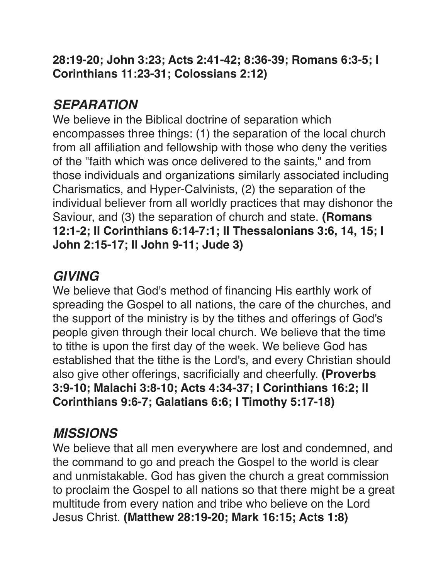**28:19-20; John 3:23; Acts 2:41-42; 8:36-39; Romans 6:3-5; I Corinthians 11:23-31; Colossians 2:12)**

### *SEPARATION*

We believe in the Biblical doctrine of separation which encompasses three things: (1) the separation of the local church from all affiliation and fellowship with those who deny the verities of the "faith which was once delivered to the saints," and from those individuals and organizations similarly associated including Charismatics, and Hyper-Calvinists, (2) the separation of the individual believer from all worldly practices that may dishonor the Saviour, and (3) the separation of church and state. **(Romans 12:1-2; II Corinthians 6:14-7:1; II Thessalonians 3:6, 14, 15; I John 2:15-17; Il John 9-11; Jude 3)**

### *GIVING*

We believe that God's method of financing His earthly work of spreading the Gospel to all nations, the care of the churches, and the support of the ministry is by the tithes and offerings of God's people given through their local church. We believe that the time to tithe is upon the first day of the week. We believe God has established that the tithe is the Lord's, and every Christian should also give other offerings, sacrificially and cheerfully. **(Proverbs 3:9-10; Malachi 3:8-10; Acts 4:34-37; I Corinthians 16:2; II Corinthians 9:6-7; Galatians 6:6; I Timothy 5:17-18)**

### *MISSIONS*

We believe that all men everywhere are lost and condemned, and the command to go and preach the Gospel to the world is clear and unmistakable. God has given the church a great commission to proclaim the Gospel to all nations so that there might be a great multitude from every nation and tribe who believe on the Lord Jesus Christ. **(Matthew 28:19-20; Mark 16:15; Acts 1:8)**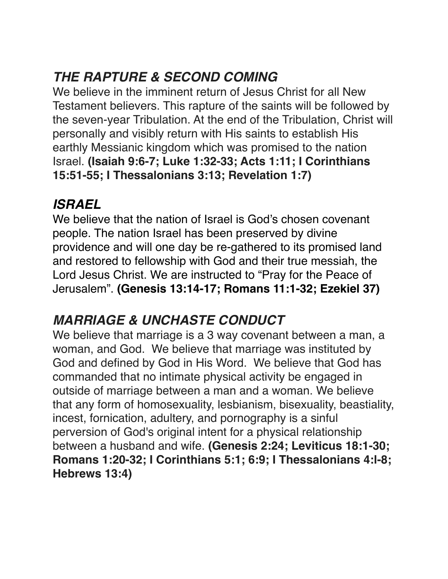# *THE RAPTURE & SECOND COMING*

We believe in the imminent return of Jesus Christ for all New Testament believers. This rapture of the saints will be followed by the seven-year Tribulation. At the end of the Tribulation, Christ will personally and visibly return with His saints to establish His earthly Messianic kingdom which was promised to the nation Israel. **(Isaiah 9:6-7; Luke 1:32-33; Acts 1:11; I Corinthians 15:51-55; I Thessalonians 3:13; Revelation 1:7)**

### *ISRAEL*

We believe that the nation of Israel is God's chosen covenant people. The nation Israel has been preserved by divine providence and will one day be re-gathered to its promised land and restored to fellowship with God and their true messiah, the Lord Jesus Christ. We are instructed to "Pray for the Peace of Jerusalem". **(Genesis 13:14-17; Romans 11:1-32; Ezekiel 37)**

# *MARRIAGE & UNCHASTE CONDUCT*

We believe that marriage is a 3 way covenant between a man, a woman, and God. We believe that marriage was instituted by God and defined by God in His Word. We believe that God has commanded that no intimate physical activity be engaged in outside of marriage between a man and a woman. We believe that any form of homosexuality, lesbianism, bisexuality, beastiality, incest, fornication, adultery, and pornography is a sinful perversion of God's original intent for a physical relationship between a husband and wife. **(Genesis 2:24; Leviticus 18:1-30; Romans 1:20-32; I Corinthians 5:1; 6:9; I Thessalonians 4:l-8; Hebrews 13:4)**